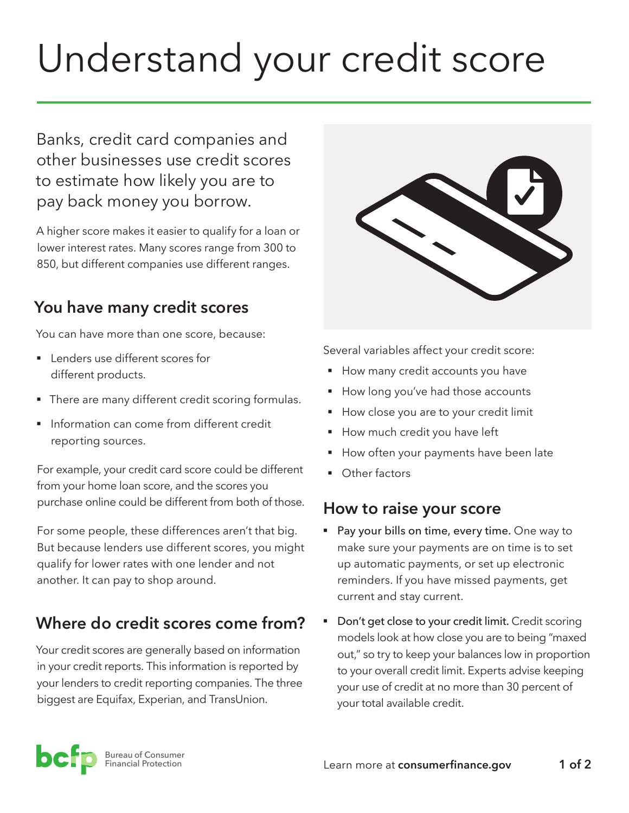# Understand your credit score

Banks, credit card companies and other businesses use credit scores to estimate how likely you are to pay back money you borrow.

A higher score makes it easier to qualify for a loan or lower interest rates. Many scores range from 300 to 850, but different companies use different ranges.

## **You have many credit scores**

You can have more than one score, because:

- Lenders use different scores for different products.
- **There are many different credit scoring formulas.**
- **•** Information can come from different credit reporting sources.

For example, your credit card score could be different from your home loan score, and the scores you purchase online could be different from both of those.

For some people, these differences aren't that big. But because lenders use different scores, you might qualify for lower rates with one lender and not another. It can pay to shop around.

# **Where do credit scores come from?**

Your credit scores are generally based on information in your credit reports. This information is reported by your lenders to credit reporting companies. The three biggest are Equifax, Experian, and TransUnion.



Several variables affect your credit score:

- How many credit accounts you have
- How long you've had those accounts
- **How close you are to your credit limit**
- **•** How much credit you have left
- **How often your payments have been late**
- Other factors

## **How to raise your score**

- Pay your bills on time, every time. One way to make sure your payments are on time is to set up automatic payments, or set up electronic reminders. If you have missed payments, get current and stay current.
- Don't get close to your credit limit. Credit scoring models look at how close you are to being "maxed out," so try to keep your balances low in proportion to your overall credit limit. Experts advise keeping your use of credit at no more than 30 percent of your total available credit.